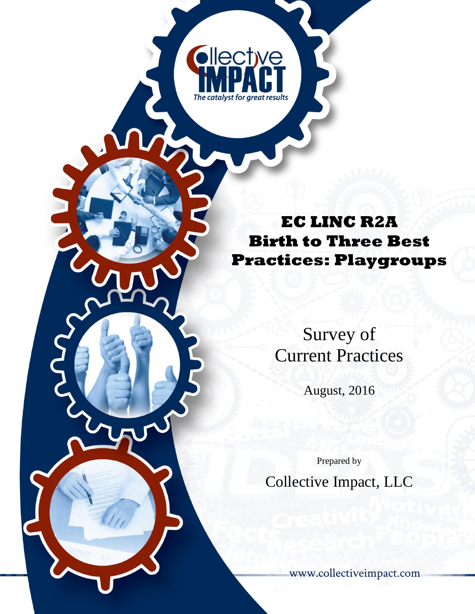# **EC LINC R2A Birth to Three Best Practices: Playgroups**

**Ollective** 

The catalyst for areat results

Survey of Current Practices

August, 2016

Prepared by Collective Impact, LLC

[www.collectiveimpact.com](http://www.collectiveimpact.com/about.php)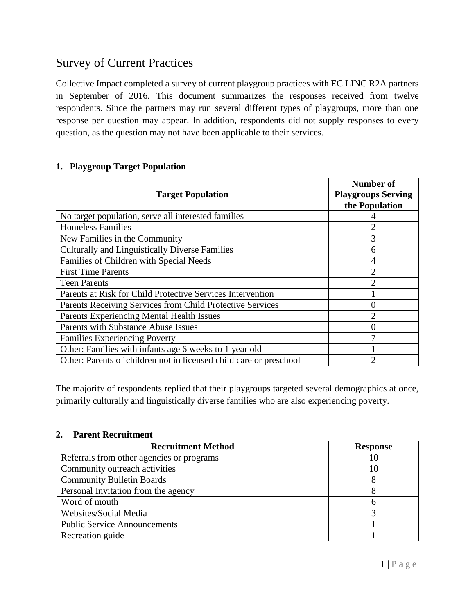# Survey of Current Practices

Collective Impact completed a survey of current playgroup practices with EC LINC R2A partners in September of 2016. This document summarizes the responses received from twelve respondents. Since the partners may run several different types of playgroups, more than one response per question may appear. In addition, respondents did not supply responses to every question, as the question may not have been applicable to their services.

# **1. Playgroup Target Population**

| <b>Target Population</b>                                           | <b>Number of</b><br><b>Playgroups Serving</b><br>the Population |
|--------------------------------------------------------------------|-----------------------------------------------------------------|
| No target population, serve all interested families                |                                                                 |
| <b>Homeless Families</b>                                           |                                                                 |
| New Families in the Community                                      | 3                                                               |
| <b>Culturally and Linguistically Diverse Families</b>              | h                                                               |
| Families of Children with Special Needs                            | 4                                                               |
| <b>First Time Parents</b>                                          | 2                                                               |
| <b>Teen Parents</b>                                                | ◠                                                               |
| Parents at Risk for Child Protective Services Intervention         |                                                                 |
| Parents Receiving Services from Child Protective Services          |                                                                 |
| Parents Experiencing Mental Health Issues                          | 2                                                               |
| <b>Parents with Substance Abuse Issues</b>                         |                                                                 |
| <b>Families Experiencing Poverty</b>                               |                                                                 |
| Other: Families with infants age 6 weeks to 1 year old             |                                                                 |
| Other: Parents of children not in licensed child care or preschool |                                                                 |

The majority of respondents replied that their playgroups targeted several demographics at once, primarily culturally and linguistically diverse families who are also experiencing poverty.

#### **2. Parent Recruitment**

| <b>Recruitment Method</b>                 | <b>Response</b> |
|-------------------------------------------|-----------------|
| Referrals from other agencies or programs |                 |
| Community outreach activities             |                 |
| <b>Community Bulletin Boards</b>          |                 |
| Personal Invitation from the agency       |                 |
| Word of mouth                             |                 |
| Websites/Social Media                     |                 |
| <b>Public Service Announcements</b>       |                 |
| Recreation guide                          |                 |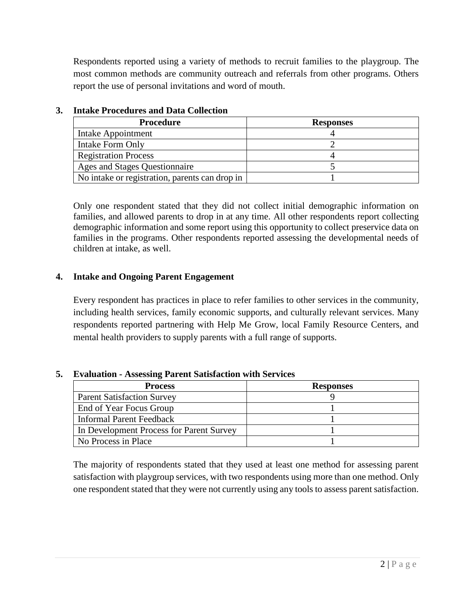Respondents reported using a variety of methods to recruit families to the playgroup. The most common methods are community outreach and referrals from other programs. Others report the use of personal invitations and word of mouth.

| <b>Procedure</b>                               | <b>Responses</b> |
|------------------------------------------------|------------------|
| Intake Appointment                             |                  |
| Intake Form Only                               |                  |
| <b>Registration Process</b>                    |                  |
| Ages and Stages Questionnaire                  |                  |
| No intake or registration, parents can drop in |                  |

# **3. Intake Procedures and Data Collection**

Only one respondent stated that they did not collect initial demographic information on families, and allowed parents to drop in at any time. All other respondents report collecting demographic information and some report using this opportunity to collect preservice data on families in the programs. Other respondents reported assessing the developmental needs of children at intake, as well.

# **4. Intake and Ongoing Parent Engagement**

Every respondent has practices in place to refer families to other services in the community, including health services, family economic supports, and culturally relevant services. Many respondents reported partnering with Help Me Grow, local Family Resource Centers, and mental health providers to supply parents with a full range of supports.

#### **5. Evaluation - Assessing Parent Satisfaction with Services**

| <b>Process</b>                           | <b>Responses</b> |
|------------------------------------------|------------------|
| <b>Parent Satisfaction Survey</b>        |                  |
| End of Year Focus Group                  |                  |
| Informal Parent Feedback                 |                  |
| In Development Process for Parent Survey |                  |
| No Process in Place                      |                  |

The majority of respondents stated that they used at least one method for assessing parent satisfaction with playgroup services, with two respondents using more than one method. Only one respondent stated that they were not currently using any tools to assess parent satisfaction.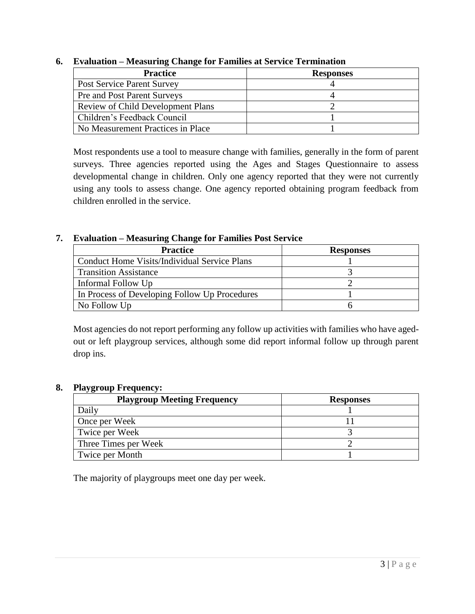| <b>Practice</b>                          | <b>Responses</b> |
|------------------------------------------|------------------|
| <b>Post Service Parent Survey</b>        |                  |
| Pre and Post Parent Surveys              |                  |
| <b>Review of Child Development Plans</b> |                  |
| Children's Feedback Council              |                  |
| No Measurement Practices in Place        |                  |

#### **6. Evaluation – Measuring Change for Families at Service Termination**

Most respondents use a tool to measure change with families, generally in the form of parent surveys. Three agencies reported using the Ages and Stages Questionnaire to assess developmental change in children. Only one agency reported that they were not currently using any tools to assess change. One agency reported obtaining program feedback from children enrolled in the service.

#### **7. Evaluation – Measuring Change for Families Post Service**

| <b>Practice</b>                               | <b>Responses</b> |
|-----------------------------------------------|------------------|
| Conduct Home Visits/Individual Service Plans  |                  |
| <b>Transition Assistance</b>                  |                  |
| Informal Follow Up                            |                  |
| In Process of Developing Follow Up Procedures |                  |
| No Follow Up                                  |                  |

Most agencies do not report performing any follow up activities with families who have agedout or left playgroup services, although some did report informal follow up through parent drop ins.

#### **8. Playgroup Frequency:**

| <b>Playgroup Meeting Frequency</b> | <b>Responses</b> |
|------------------------------------|------------------|
| Daily                              |                  |
| Once per Week                      |                  |
| Twice per Week                     |                  |
| Three Times per Week               |                  |
| Twice per Month                    |                  |

The majority of playgroups meet one day per week.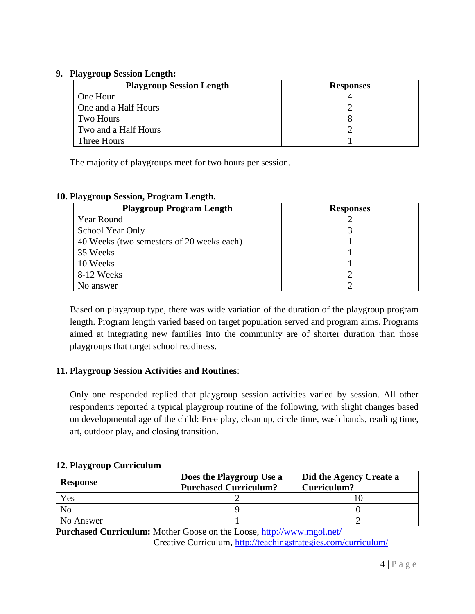#### **9. Playgroup Session Length:**

| <b>Playgroup Session Length</b> | <b>Responses</b> |
|---------------------------------|------------------|
| One Hour                        |                  |
| One and a Half Hours            |                  |
| Two Hours                       |                  |
| Two and a Half Hours            |                  |
| Three Hours                     |                  |

The majority of playgroups meet for two hours per session.

#### **10. Playgroup Session, Program Length.**

| <b>Playgroup Program Length</b>           | <b>Responses</b> |
|-------------------------------------------|------------------|
| Year Round                                |                  |
| School Year Only                          |                  |
| 40 Weeks (two semesters of 20 weeks each) |                  |
| 35 Weeks                                  |                  |
| 10 Weeks                                  |                  |
| 8-12 Weeks                                |                  |
| No answer                                 |                  |

Based on playgroup type, there was wide variation of the duration of the playgroup program length. Program length varied based on target population served and program aims. Programs aimed at integrating new families into the community are of shorter duration than those playgroups that target school readiness.

#### **11. Playgroup Session Activities and Routines**:

Only one responded replied that playgroup session activities varied by session. All other respondents reported a typical playgroup routine of the following, with slight changes based on developmental age of the child: Free play, clean up, circle time, wash hands, reading time, art, outdoor play, and closing transition.

#### **12. Playgroup Curriculum**

| <b>Response</b> | Does the Playgroup Use a<br><b>Purchased Curriculum?</b> | Did the Agency Create a<br>Curriculum? |
|-----------------|----------------------------------------------------------|----------------------------------------|
| Yes             |                                                          |                                        |
| No              |                                                          |                                        |
| No Answer       |                                                          |                                        |

**Purchased Curriculum:** Mother Goose on the Loose,<http://www.mgol.net/> Creative Curriculum,<http://teachingstrategies.com/curriculum/>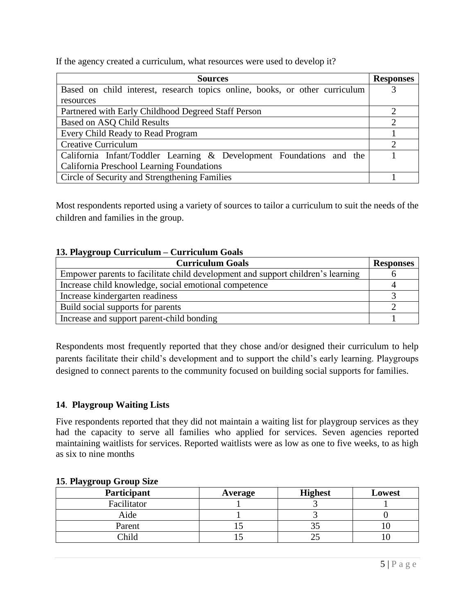If the agency created a curriculum, what resources were used to develop it?

| <b>Sources</b>                                                              | <b>Responses</b> |
|-----------------------------------------------------------------------------|------------------|
| Based on child interest, research topics online, books, or other curriculum |                  |
| resources                                                                   |                  |
| Partnered with Early Childhood Degreed Staff Person                         |                  |
| <b>Based on ASQ Child Results</b>                                           |                  |
| Every Child Ready to Read Program                                           |                  |
| <b>Creative Curriculum</b>                                                  |                  |
| California Infant/Toddler Learning & Development Foundations and the        |                  |
| California Preschool Learning Foundations                                   |                  |
| Circle of Security and Strengthening Families                               |                  |

Most respondents reported using a variety of sources to tailor a curriculum to suit the needs of the children and families in the group.

#### **13. Playgroup Curriculum – Curriculum Goals**

| <b>Curriculum Goals</b>                                                         | <b>Responses</b> |
|---------------------------------------------------------------------------------|------------------|
| Empower parents to facilitate child development and support children's learning |                  |
| Increase child knowledge, social emotional competence                           |                  |
| Increase kindergarten readiness                                                 |                  |
| Build social supports for parents                                               |                  |
| Increase and support parent-child bonding                                       |                  |

Respondents most frequently reported that they chose and/or designed their curriculum to help parents facilitate their child's development and to support the child's early learning. Playgroups designed to connect parents to the community focused on building social supports for families.

#### **14**. **Playgroup Waiting Lists**

Five respondents reported that they did not maintain a waiting list for playgroup services as they had the capacity to serve all families who applied for services. Seven agencies reported maintaining waitlists for services. Reported waitlists were as low as one to five weeks, to as high as six to nine months

| $\ddot{\phantom{0}}$<br><b>Participant</b> | Average | <b>Highest</b> | Lowest |
|--------------------------------------------|---------|----------------|--------|
| Facilitator                                |         |                |        |
| Aide                                       |         |                |        |
| Parent                                     |         |                |        |
| Child                                      |         |                |        |

#### **15**. **Playgroup Group Size**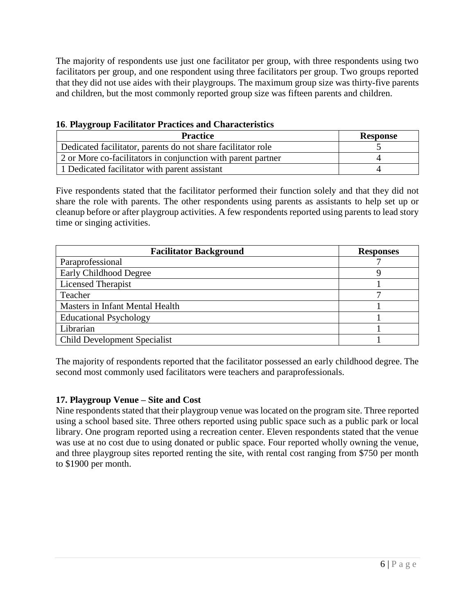The majority of respondents use just one facilitator per group, with three respondents using two facilitators per group, and one respondent using three facilitators per group. Two groups reported that they did not use aides with their playgroups. The maximum group size was thirty-five parents and children, but the most commonly reported group size was fifteen parents and children.

| 16. Playgroup Facilitator Practices and Characteristics |  |
|---------------------------------------------------------|--|
|---------------------------------------------------------|--|

| <b>Practice</b>                                              | <b>Response</b> |
|--------------------------------------------------------------|-----------------|
| Dedicated facilitator, parents do not share facilitator role |                 |
| 2 or More co-facilitators in conjunction with parent partner |                 |
| 1 Dedicated facilitator with parent assistant                |                 |

Five respondents stated that the facilitator performed their function solely and that they did not share the role with parents. The other respondents using parents as assistants to help set up or cleanup before or after playgroup activities. A few respondents reported using parents to lead story time or singing activities.

| <b>Facilitator Background</b>       | <b>Responses</b> |
|-------------------------------------|------------------|
| Paraprofessional                    |                  |
| Early Childhood Degree              |                  |
| <b>Licensed Therapist</b>           |                  |
| Teacher                             |                  |
| Masters in Infant Mental Health     |                  |
| <b>Educational Psychology</b>       |                  |
| Librarian                           |                  |
| <b>Child Development Specialist</b> |                  |

The majority of respondents reported that the facilitator possessed an early childhood degree. The second most commonly used facilitators were teachers and paraprofessionals.

#### **17. Playgroup Venue – Site and Cost**

Nine respondents stated that their playgroup venue was located on the program site. Three reported using a school based site. Three others reported using public space such as a public park or local library. One program reported using a recreation center. Eleven respondents stated that the venue was use at no cost due to using donated or public space. Four reported wholly owning the venue, and three playgroup sites reported renting the site, with rental cost ranging from \$750 per month to \$1900 per month.